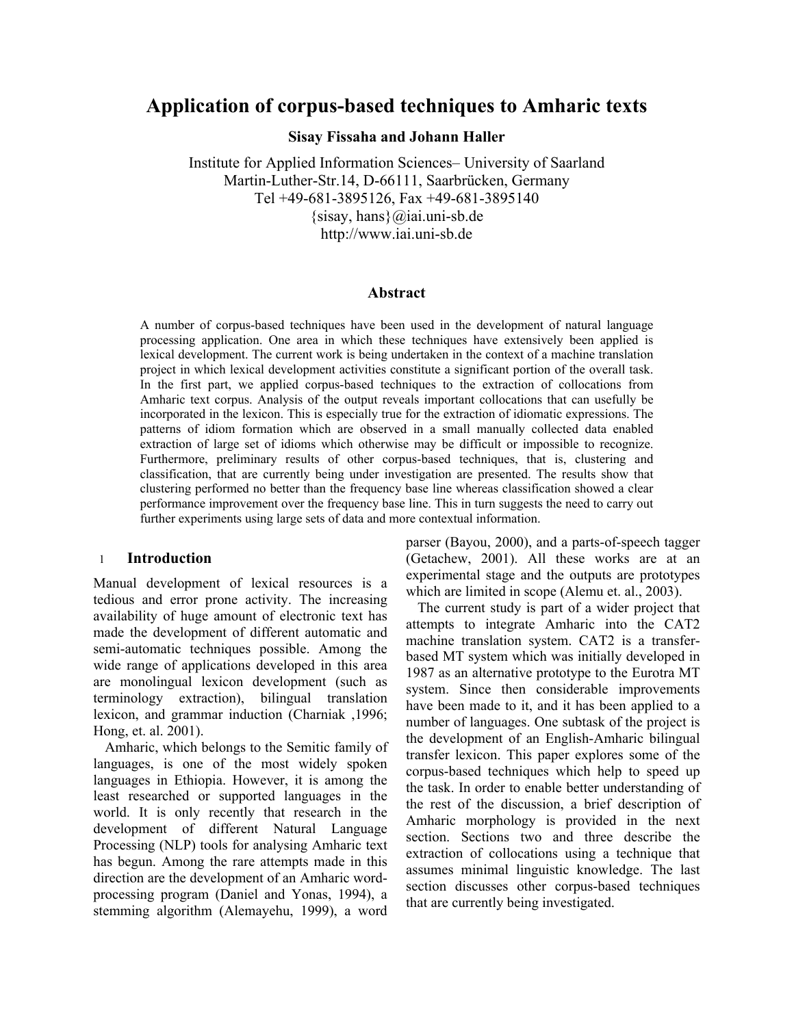# **Application of corpus-based techniques to Amharic texts**

**Sisay Fissaha and Johann Haller** 

Institute for Applied Information Sciences– University of Saarland Martin-Luther-Str.14, D-66111, Saarbrücken, Germany Tel +49-681-3895126, Fax +49-681-3895140  $\{sisay, hans\}\omega$ iai.uni-sb.de http://www.iai.uni-sb.de

#### **Abstract**

A number of corpus-based techniques have been used in the development of natural language processing application. One area in which these techniques have extensively been applied is lexical development. The current work is being undertaken in the context of a machine translation project in which lexical development activities constitute a significant portion of the overall task. In the first part, we applied corpus-based techniques to the extraction of collocations from Amharic text corpus. Analysis of the output reveals important collocations that can usefully be incorporated in the lexicon. This is especially true for the extraction of idiomatic expressions. The patterns of idiom formation which are observed in a small manually collected data enabled extraction of large set of idioms which otherwise may be difficult or impossible to recognize. Furthermore, preliminary results of other corpus-based techniques, that is, clustering and classification, that are currently being under investigation are presented. The results show that clustering performed no better than the frequency base line whereas classification showed a clear performance improvement over the frequency base line. This in turn suggests the need to carry out further experiments using large sets of data and more contextual information.

# 1 **Introduction**

Manual development of lexical resources is a tedious and error prone activity. The increasing availability of huge amount of electronic text has made the development of different automatic and semi-automatic techniques possible. Among the wide range of applications developed in this area are monolingual lexicon development (such as terminology extraction), bilingual translation lexicon, and grammar induction (Charniak ,1996; Hong, et. al. 2001).

Amharic, which belongs to the Semitic family of languages, is one of the most widely spoken languages in Ethiopia. However, it is among the least researched or supported languages in the world. It is only recently that research in the development of different Natural Language Processing (NLP) tools for analysing Amharic text has begun. Among the rare attempts made in this direction are the development of an Amharic wordprocessing program (Daniel and Yonas, 1994), a stemming algorithm (Alemayehu, 1999), a word

parser (Bayou, 2000), and a parts-of-speech tagger (Getachew, 2001). All these works are at an experimental stage and the outputs are prototypes which are limited in scope (Alemu et. al., 2003).

The current study is part of a wider project that attempts to integrate Amharic into the CAT2 machine translation system. CAT2 is a transferbased MT system which was initially developed in 1987 as an alternative prototype to the Eurotra MT system. Since then considerable improvements have been made to it, and it has been applied to a number of languages. One subtask of the project is the development of an English-Amharic bilingual transfer lexicon. This paper explores some of the corpus-based techniques which help to speed up the task. In order to enable better understanding of the rest of the discussion, a brief description of Amharic morphology is provided in the next section. Sections two and three describe the extraction of collocations using a technique that assumes minimal linguistic knowledge. The last section discusses other corpus-based techniques that are currently being investigated.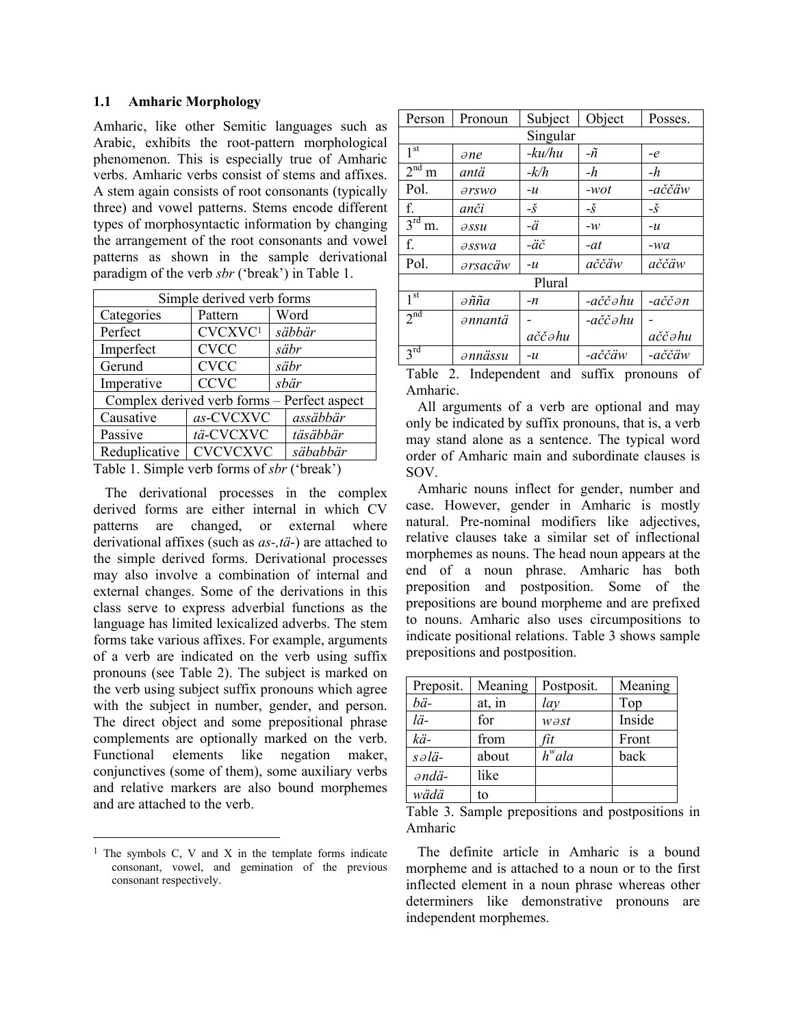#### **1.1 Amharic Morphology**

Amharic, like other Semitic languages such as Arabic, exhibits the root-pattern morphological phenomenon. This is especially true of Amharic verbs. Amharic verbs consist of stems and affixes. A stem again consists of root consonants (typically three) and vowel patterns. Stems encode different types of morphosyntactic information by changing the arrangement of the root consonants and vowel patterns as shown in the sample derivational paradigm of the verb *sbr* ('break') in Table 1.

| Simple derived verb forms                      |                 |                                             |  |  |  |  |
|------------------------------------------------|-----------------|---------------------------------------------|--|--|--|--|
| Categories                                     | Pattern         | Word                                        |  |  |  |  |
| Perfect                                        | CVCXVC1         | säbbär                                      |  |  |  |  |
| Imperfect                                      | <b>CVCC</b>     | säbr                                        |  |  |  |  |
| Gerund                                         | <b>CVCC</b>     | säbr                                        |  |  |  |  |
| Imperative                                     | <b>CCVC</b>     | sbär                                        |  |  |  |  |
|                                                |                 | Complex derived verb forms – Perfect aspect |  |  |  |  |
| Causative                                      | as-CVCXVC       | assäbbär                                    |  |  |  |  |
| Passive                                        | tä-CVCXVC       | täsäbbär                                    |  |  |  |  |
| Reduplicative                                  | <b>CVCVCXVC</b> | säbabbär                                    |  |  |  |  |
| $Table 1$ Simple york forms of $shy$ ('brook') |                 |                                             |  |  |  |  |

Table 1. Simple verb forms of *sbr* ('break')

The derivational processes in the complex derived forms are either internal in which CV patterns are changed, or external where derivational affixes (such as *as-,tä*-) are attached to the simple derived forms. Derivational processes may also involve a combination of internal and external changes. Some of the derivations in this class serve to express adverbial functions as the language has limited lexicalized adverbs. The stem forms take various affixes. For example, arguments of a verb are indicated on the verb using suffix pronouns (see Table 2). The subject is marked on the verb using subject suffix pronouns which agree with the subject in number, gender, and person. The direct object and some prepositional phrase complements are optionally marked on the verb. Functional elements like negation maker, conjunctives (some of them), some auxiliary verbs and relative markers are also bound morphemes and are attached to the verb.

1

| Person                    | Pronoun                          | Subject              | Object       | Posses.                   |
|---------------------------|----------------------------------|----------------------|--------------|---------------------------|
|                           |                                  | Singular             |              |                           |
| 1 <sup>st</sup>           | $\partial ne$                    | -ku/hu               | $-\tilde{n}$ | $-e$                      |
| $\overline{2}^{\rm nd}$ m | antä                             | $-k/h$               | $-h$         | -h                        |
| Pol.                      | $\partial$ rswo                  | $-u$                 | -wot         | -aččäw                    |
| f.                        | anči                             | $-\check{S}$         | $-\check{S}$ | $-\check{S}$              |
| 3 <sup>rd</sup><br>m.     | $\partial SSU$                   | $-\ddot{a}$          | $-w$         | $-u$                      |
| f.                        | $\partial$ sswa                  | $-\ddot{a}\check{c}$ | -at          | -wa                       |
| Pol.                      | ərsacäw                          | $-u$                 | aččäw        | aččäw                     |
|                           |                                  | Plural               |              |                           |
| 1 <sup>st</sup>           | $\partial \tilde{n} \tilde{n} a$ | -n                   | -aččəhu      | $-a\check{c}\check{c}$ ən |
| 2 <sup>nd</sup>           | ənnantä                          |                      | -aččəhu      |                           |
|                           |                                  | aččəhu               |              | aččəhu                    |
| $3^{rd}$                  | annässu                          | $-u$                 | -aččäw       | -aččäw                    |

|          | Table 2. Independent and suffix pronouns of |  |  |
|----------|---------------------------------------------|--|--|
| Amharic. |                                             |  |  |

All arguments of a verb are optional and may only be indicated by suffix pronouns, that is, a verb may stand alone as a sentence. The typical word order of Amharic main and subordinate clauses is SOV.

Amharic nouns inflect for gender, number and case. However, gender in Amharic is mostly natural. Pre-nominal modifiers like adjectives, relative clauses take a similar set of inflectional morphemes as nouns. The head noun appears at the end of a noun phrase. Amharic has both preposition and postposition. Some of the prepositions are bound morpheme and are prefixed to nouns. Amharic also uses circumpositions to indicate positional relations. Table 3 shows sample prepositions and postposition.

| Preposit.               | Meaning | Postposit.           | Meaning |
|-------------------------|---------|----------------------|---------|
| bä-                     | at, in  | lay                  | Top     |
| lä-                     | for     | $w$ $\partial st$    | Inside  |
| kä-                     | from    | fit                  | Front   |
| $s \partial \ddot{a}$ - | about   | $h^{\mathrm{w}}$ ala | back    |
| əndä-                   | like    |                      |         |
| wädä                    | to      |                      |         |

Table 3. Sample prepositions and postpositions in Amharic

The definite article in Amharic is a bound morpheme and is attached to a noun or to the first inflected element in a noun phrase whereas other determiners like demonstrative pronouns are independent morphemes.

<span id="page-1-0"></span> $1$  The symbols C, V and X in the template forms indicate consonant, vowel, and gemination of the previous consonant respectively.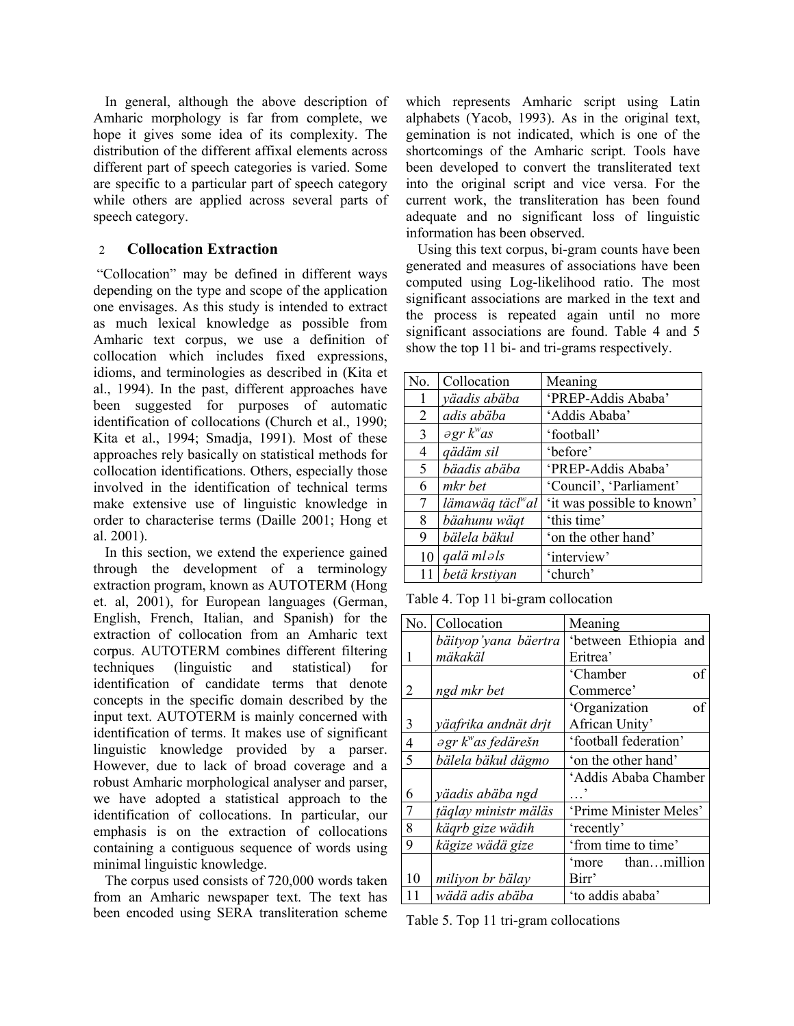In general, although the above description of Amharic morphology is far from complete, we hope it gives some idea of its complexity. The distribution of the different affixal elements across different part of speech categories is varied. Some are specific to a particular part of speech category while others are applied across several parts of speech category.

# 2 **Collocation Extraction**

 "Collocation" may be defined in different ways depending on the type and scope of the application one envisages. As this study is intended to extract as much lexical knowledge as possible from Amharic text corpus, we use a definition of collocation which includes fixed expressions, idioms, and terminologies as described in (Kita et al., 1994). In the past, different approaches have been suggested for purposes of automatic identification of collocations (Church et al., 1990; Kita et al., 1994; Smadja, 1991). Most of these approaches rely basically on statistical methods for collocation identifications. Others, especially those involved in the identification of technical terms make extensive use of linguistic knowledge in order to characterise terms (Daille 2001; Hong et al. 2001).

In this section, we extend the experience gained through the development of a terminology extraction program, known as AUTOTERM (Hong et. al, 2001), for European languages (German, English, French, Italian, and Spanish) for the extraction of collocation from an Amharic text corpus. AUTOTERM combines different filtering techniques (linguistic and statistical) for identification of candidate terms that denote concepts in the specific domain described by the input text. AUTOTERM is mainly concerned with identification of terms. It makes use of significant linguistic knowledge provided by a parser. However, due to lack of broad coverage and a robust Amharic morphological analyser and parser, we have adopted a statistical approach to the identification of collocations. In particular, our emphasis is on the extraction of collocations containing a contiguous sequence of words using minimal linguistic knowledge.

The corpus used consists of 720,000 words taken from an Amharic newspaper text. The text has been encoded using SERA transliteration scheme which represents Amharic script using Latin alphabets (Yacob, 1993). As in the original text, gemination is not indicated, which is one of the shortcomings of the Amharic script. Tools have been developed to convert the transliterated text into the original script and vice versa. For the current work, the transliteration has been found adequate and no significant loss of linguistic information has been observed.

Using this text corpus, bi-gram counts have been generated and measures of associations have been computed using Log-likelihood ratio. The most significant associations are marked in the text and the process is repeated again until no more significant associations are found. Table 4 and 5 show the top 11 bi- and tri-grams respectively.

| No. | Collocation                     | Meaning                    |
|-----|---------------------------------|----------------------------|
| 1   | yäadis abäba                    | 'PREP-Addis Ababa'         |
| 2   | adis abäba                      | 'Addis Ababa'              |
| 3   | $\partial$ gr k <sup>w</sup> as | 'football'                 |
| 4   | qädäm sil                       | 'before'                   |
| 5   | bäadis abäba                    | 'PREP-Addis Ababa'         |
| 6   | mkr bet                         | 'Council', 'Parliament'    |
| 7   | lämawäq täcl <sup>w</sup> al    | 'it was possible to known' |
| 8   | bäahunu wäqt                    | 'this time'                |
| 9   | bälela bäkul                    | 'on the other hand'        |
| 10  | qalä mləls                      | 'interview'                |
|     | betä krstivan                   | 'church'                   |

Table 4. Top 11 bi-gram collocation

| No.            | Collocation                              | Meaning                |
|----------------|------------------------------------------|------------------------|
|                | bäityop'yana bäertra                     | 'between Ethiopia and  |
|                | mäkakäl                                  | Eritrea'               |
|                |                                          | of<br>'Chamber         |
| 2              | ngd mkr bet                              | Commerce'              |
|                |                                          | of<br>'Organization    |
| $\overline{3}$ | yäafrika andnät drjt                     | African Unity'         |
| $\overline{4}$ | $\partial$ gr k <sup>w</sup> as fedärešn | 'football federation'  |
| 5              | bälela bäkul dägmo                       | 'on the other hand'    |
|                |                                          | 'Addis Ababa Chamber   |
| 6              | yäadis abäba ngd                         |                        |
| $\overline{7}$ | täglay ministr mäläs                     | 'Prime Minister Meles' |
| 8              | käqrb gize wädih                         | 'recently'             |
| 9              | kägize wädä gize                         | 'from time to time'    |
|                |                                          | thanmillion<br>'more   |
| 10             | miliyon br bälay                         | Birr'                  |
| 11             | wädä adis abäba                          | 'to addis ababa'       |

Table 5. Top 11 tri-gram collocations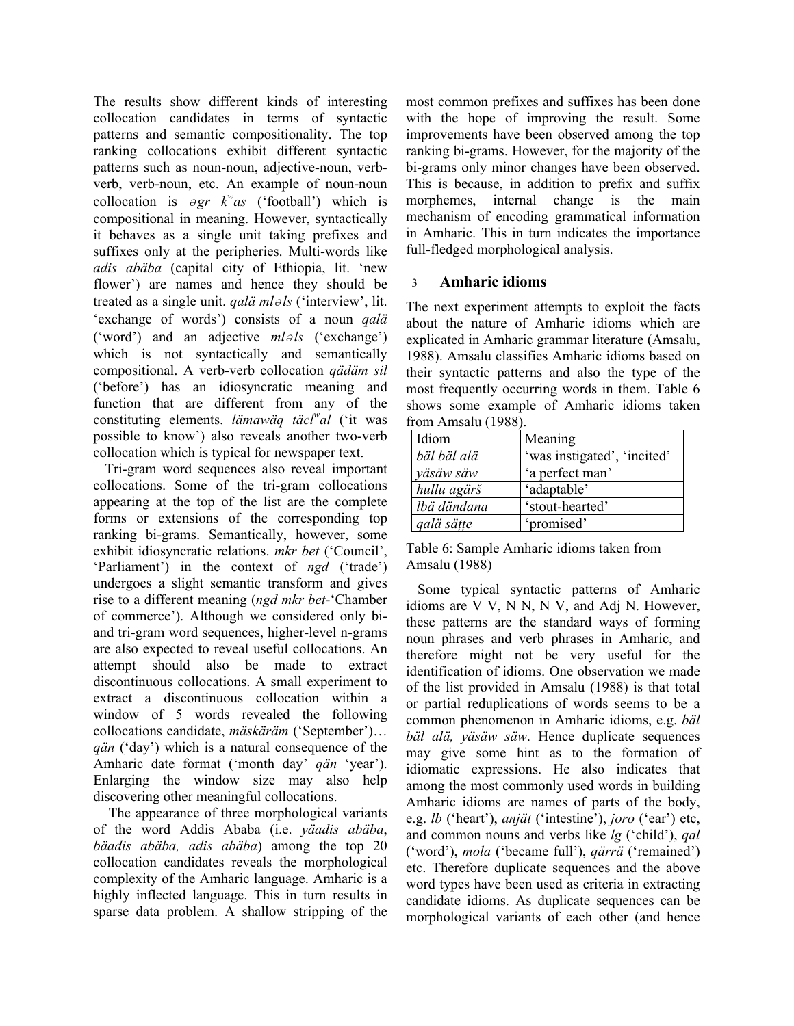The results show different kinds of interesting collocation candidates in terms of syntactic patterns and semantic compositionality. The top ranking collocations exhibit different syntactic patterns such as noun-noun, adjective-noun, verbverb, verb-noun, etc. An example of noun-noun collocation is  $\partial gr$   $k^{\nu}$ as ('football') which is compositional in meaning. However, syntactically it behaves as a single unit taking prefixes and suffixes only at the peripheries. Multi-words like *adis abäba* (capital city of Ethiopia, lit. 'new flower') are names and hence they should be treated as a single unit. *qalä ml*<sup>ə</sup> *ls* ('interview', lit. 'exchange of words') consists of a noun *qalä* ('word') and an adjective  $ml \geq l$  ('exchange') which is not syntactically and semantically compositional. A verb-verb collocation *qädäm sil* ('before') has an idiosyncratic meaning and function that are different from any of the constituting elements. *lämawäq täcl<sup>w</sup> al* ('it was possible to know') also reveals another two-verb collocation which is typical for newspaper text.

Tri-gram word sequences also reveal important collocations. Some of the tri-gram collocations appearing at the top of the list are the complete forms or extensions of the corresponding top ranking bi-grams. Semantically, however, some exhibit idiosyncratic relations. *mkr bet* ('Council', 'Parliament') in the context of *ngd* ('trade') undergoes a slight semantic transform and gives rise to a different meaning (*ngd mkr bet*-'Chamber of commerce'). Although we considered only biand tri-gram word sequences, higher-level n-grams are also expected to reveal useful collocations. An attempt should also be made to extract discontinuous collocations. A small experiment to extract a discontinuous collocation within a window of 5 words revealed the following collocations candidate, *mäskäräm* ('September')… *qän* ('day') which is a natural consequence of the Amharic date format ('month day' *qän* 'year'). Enlarging the window size may also help discovering other meaningful collocations.

 The appearance of three morphological variants of the word Addis Ababa (i.e. *yäadis abäba*, *bäadis abäba, adis abäba*) among the top 20 collocation candidates reveals the morphological complexity of the Amharic language. Amharic is a highly inflected language. This in turn results in sparse data problem. A shallow stripping of the most common prefixes and suffixes has been done with the hope of improving the result. Some improvements have been observed among the top ranking bi-grams. However, for the majority of the bi-grams only minor changes have been observed. This is because, in addition to prefix and suffix morphemes, internal change is the main mechanism of encoding grammatical information in Amharic. This in turn indicates the importance full-fledged morphological analysis.

# 3 **Amharic idioms**

The next experiment attempts to exploit the facts about the nature of Amharic idioms which are explicated in Amharic grammar literature (Amsalu, 1988). Amsalu classifies Amharic idioms based on their syntactic patterns and also the type of the most frequently occurring words in them. Table 6 shows some example of Amharic idioms taken from Amsalu (1988).

| Idiom       | Meaning                     |
|-------------|-----------------------------|
| bäl bäl alä | 'was instigated', 'incited' |
| yäsäw säw   | 'a perfect man'             |
| hullu agärš | 'adaptable'                 |
| lbä dändana | 'stout-hearted'             |
| qalä sätte  | 'promised'                  |

|               | Table 6: Sample Amharic idioms taken from |  |  |
|---------------|-------------------------------------------|--|--|
| Amsalu (1988) |                                           |  |  |

Some typical syntactic patterns of Amharic idioms are V V, N N, N V, and Adj N. However, these patterns are the standard ways of forming noun phrases and verb phrases in Amharic, and therefore might not be very useful for the identification of idioms. One observation we made of the list provided in Amsalu (1988) is that total or partial reduplications of words seems to be a common phenomenon in Amharic idioms, e.g. *bäl bäl alä, yäsäw säw*. Hence duplicate sequences may give some hint as to the formation of idiomatic expressions. He also indicates that among the most commonly used words in building Amharic idioms are names of parts of the body, e.g. *lb* ('heart'), *anjät* ('intestine'), *joro* ('ear') etc, and common nouns and verbs like *lg* ('child'), *qal* ('word'), *mola* ('became full'), *qärrä* ('remained') etc. Therefore duplicate sequences and the above word types have been used as criteria in extracting candidate idioms. As duplicate sequences can be morphological variants of each other (and hence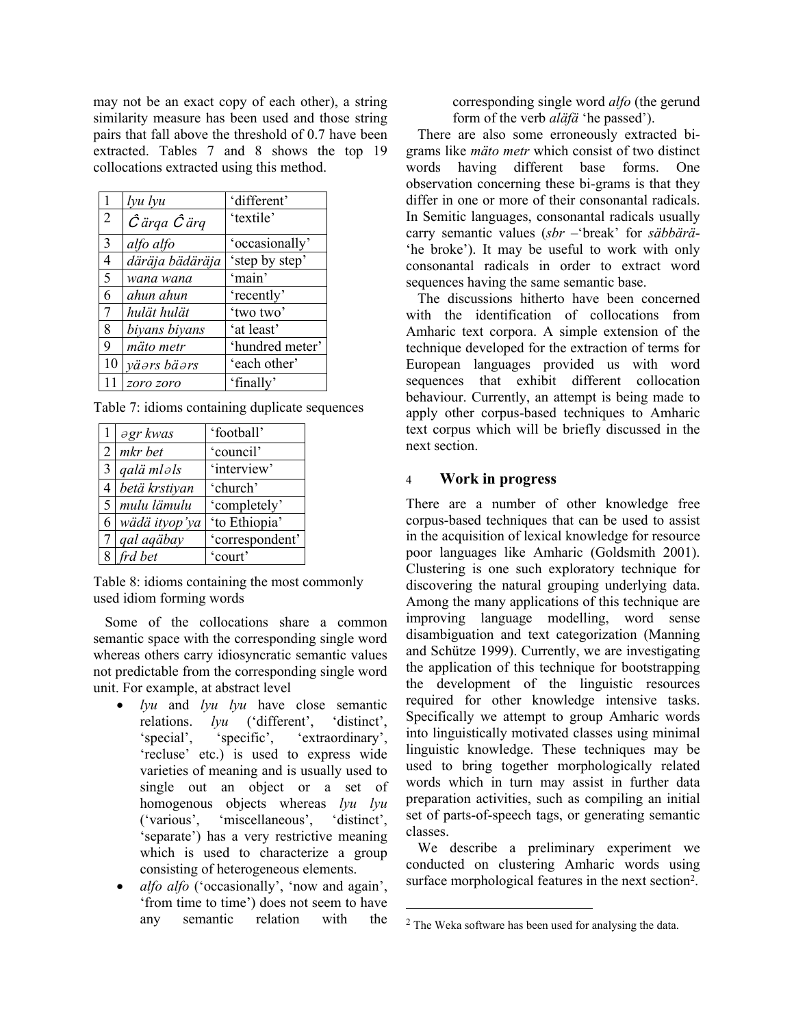may not be an exact copy of each other), a string similarity measure has been used and those string pairs that fall above the threshold of 0.7 have been extracted. Tables 7 and 8 shows the top 19 collocations extracted using this method.

| $\mathbf{1}$   | lyu lyu                      | 'different'     |
|----------------|------------------------------|-----------------|
| $\overline{2}$ | $\hat{C}$ ärqa $\hat{C}$ ärq | 'textile'       |
| 3              | alfo alfo                    | 'occasionally'  |
| $\overline{4}$ | däräja bädäräja              | 'step by step'  |
| 5              | wana wana                    | 'main'          |
| 6              | ahun ahun                    | 'recently'      |
| $\overline{7}$ | hulät hulät                  | 'two two'       |
| 8              | biyans biyans                | 'at least'      |
| 9              | mäto metr                    | 'hundred meter' |
| 10             | väərs bäərs                  | 'each other'    |
|                | zoro zoro                    | 'finally'       |

Table 7: idioms containing duplicate sequences

| $\cdot$ 1      | $\partial$ gr kwas      | 'football'      |
|----------------|-------------------------|-----------------|
|                | $2 \mid mkr$ bet        | 'council'       |
| $\overline{3}$ | qalä mləls              | 'interview'     |
| 4              | betä krstiyan           | 'church'        |
|                | 5   mulu lämulu         | 'completely'    |
| 6              | wädä ityop'ya           | 'to Ethiopia'   |
| $\tau$         | qal aqäbay              | 'correspondent' |
|                | $8 \mid \text{frd}$ bet | 'court'         |

Table 8: idioms containing the most commonly used idiom forming words

Some of the collocations share a common semantic space with the corresponding single word whereas others carry idiosyncratic semantic values not predictable from the corresponding single word unit. For example, at abstract level

- *lyu* and *lyu lyu* have close semantic relations. *lyu* ('different', 'distinct', 'special', 'specific', 'extraordinary', 'recluse' etc.) is used to express wide varieties of meaning and is usually used to single out an object or a set of homogenous objects whereas *lyu lyu* ('various', 'miscellaneous', 'distinct', 'separate') has a very restrictive meaning which is used to characterize a group consisting of heterogeneous elements.
- *alfo alfo* ('occasionally', 'now and again', 'from time to time') does not seem to have any semantic relation with the

corresponding single word *alfo* (the gerund form of the verb *aläfä* 'he passed').

There are also some erroneously extracted bigrams like *mäto metr* which consist of two distinct words having different base forms. One observation concerning these bi-grams is that they differ in one or more of their consonantal radicals. In Semitic languages, consonantal radicals usually carry semantic values (*sbr* –'break' for *säbbärä*- 'he broke'). It may be useful to work with only consonantal radicals in order to extract word sequences having the same semantic base.

The discussions hitherto have been concerned with the identification of collocations from Amharic text corpora. A simple extension of the technique developed for the extraction of terms for European languages provided us with word sequences that exhibit different collocation behaviour. Currently, an attempt is being made to apply other corpus-based techniques to Amharic text corpus which will be briefly discussed in the next section.

#### 4 **Work in progress**

There are a number of other knowledge free corpus-based techniques that can be used to assist in the acquisition of lexical knowledge for resource poor languages like Amharic (Goldsmith 2001). Clustering is one such exploratory technique for discovering the natural grouping underlying data. Among the many applications of this technique are improving language modelling, word sense disambiguation and text categorization (Manning and Schütze 1999). Currently, we are investigating the application of this technique for bootstrapping the development of the linguistic resources required for other knowledge intensive tasks. Specifically we attempt to group Amharic words into linguistically motivated classes using minimal linguistic knowledge. These techniques may be used to bring together morphologically related words which in turn may assist in further data preparation activities, such as compiling an initial set of parts-of-speech tags, or generating semantic classes.

We describe a preliminary experiment we conducted on clustering Amharic words using surface morphological features in the next section[2.](#page-4-0)

l

<span id="page-4-0"></span><sup>2</sup> The Weka software has been used for analysing the data.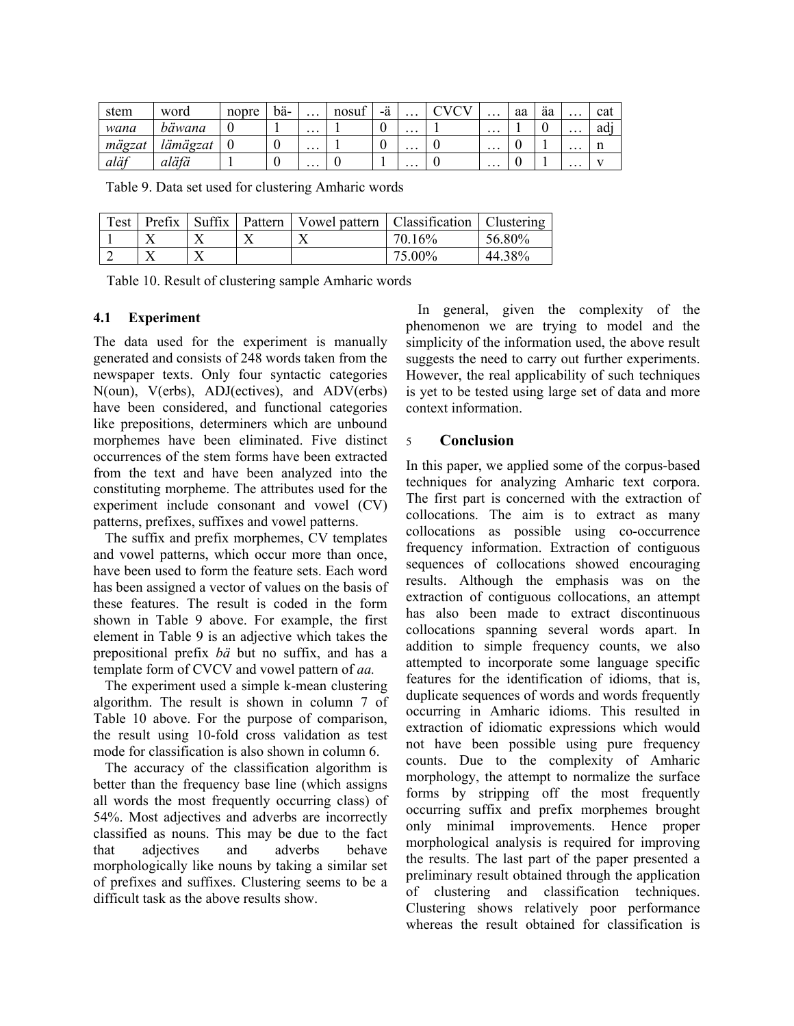| stem   | word     | nopre | bä- | $\cdots$ | nosut | -ä | $\cdots$ | ◡ | $\cdots$ | aa | äa | $\cdots$ | cat |
|--------|----------|-------|-----|----------|-------|----|----------|---|----------|----|----|----------|-----|
| wana   | bäwana   |       |     | $\cdots$ |       | ν  | $\cdots$ |   | $\cdots$ |    | ν  | $\cdots$ | ad  |
| mägzat | lämägzat |       | ν   | $\cdots$ |       | ν  | $\cdots$ |   | $\cdots$ |    |    | $\cdots$ | 11  |
| aläf   | aläfä    |       |     | .        |       |    | $\cdots$ |   | $\cdots$ |    |    | $\cdots$ |     |

Table 9. Data set used for clustering Amharic words

| Test | Prefix | Suffix | Pattern   Vowel pattern   Classification |        | Clustering |
|------|--------|--------|------------------------------------------|--------|------------|
|      |        |        |                                          | 70.16% | 56.80%     |
|      |        |        |                                          | 75.00% | 44.38%     |

Table 10. Result of clustering sample Amharic words

### **4.1 Experiment**

The data used for the experiment is manually generated and consists of 248 words taken from the newspaper texts. Only four syntactic categories N(oun), V(erbs), ADJ(ectives), and ADV(erbs) have been considered, and functional categories like prepositions, determiners which are unbound morphemes have been eliminated. Five distinct occurrences of the stem forms have been extracted from the text and have been analyzed into the constituting morpheme. The attributes used for the experiment include consonant and vowel (CV) patterns, prefixes, suffixes and vowel patterns.

The suffix and prefix morphemes, CV templates and vowel patterns, which occur more than once, have been used to form the feature sets. Each word has been assigned a vector of values on the basis of these features. The result is coded in the form shown in Table 9 above. For example, the first element in Table 9 is an adjective which takes the prepositional prefix *bä* but no suffix, and has a template form of CVCV and vowel pattern of *aa.*

The experiment used a simple k-mean clustering algorithm. The result is shown in column 7 of Table 10 above. For the purpose of comparison, the result using 10-fold cross validation as test mode for classification is also shown in column 6.

The accuracy of the classification algorithm is better than the frequency base line (which assigns all words the most frequently occurring class) of 54%. Most adjectives and adverbs are incorrectly classified as nouns. This may be due to the fact that adjectives and adverbs behave morphologically like nouns by taking a similar set of prefixes and suffixes. Clustering seems to be a difficult task as the above results show.

In general, given the complexity of the phenomenon we are trying to model and the simplicity of the information used, the above result suggests the need to carry out further experiments. However, the real applicability of such techniques is yet to be tested using large set of data and more context information.

## 5 **Conclusion**

In this paper, we applied some of the corpus-based techniques for analyzing Amharic text corpora. The first part is concerned with the extraction of collocations. The aim is to extract as many collocations as possible using co-occurrence frequency information. Extraction of contiguous sequences of collocations showed encouraging results. Although the emphasis was on the extraction of contiguous collocations, an attempt has also been made to extract discontinuous collocations spanning several words apart. In addition to simple frequency counts, we also attempted to incorporate some language specific features for the identification of idioms, that is, duplicate sequences of words and words frequently occurring in Amharic idioms. This resulted in extraction of idiomatic expressions which would not have been possible using pure frequency counts. Due to the complexity of Amharic morphology, the attempt to normalize the surface forms by stripping off the most frequently occurring suffix and prefix morphemes brought only minimal improvements. Hence proper morphological analysis is required for improving the results. The last part of the paper presented a preliminary result obtained through the application of clustering and classification techniques. Clustering shows relatively poor performance whereas the result obtained for classification is